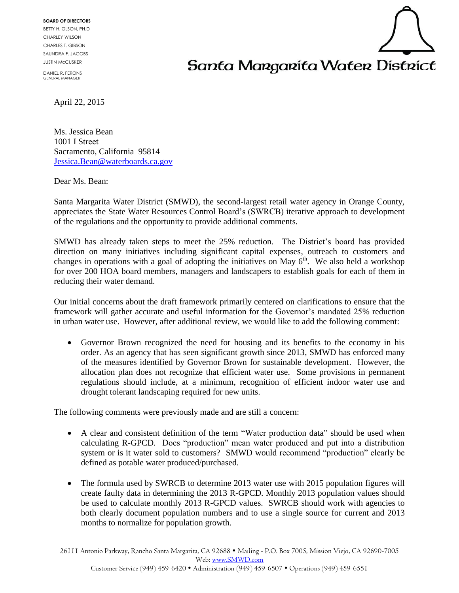**BOARD OF DIRECTORS** BETTY H. OLSON, PH.D CHARLEY WILSON CHARLES T. GIBSON SAUNDRA F. JACOBS JUSTIN McCUSKER

DANIEL R. FERONS GENERAL MANAGER

## Santa Margarita Water District

April 22, 2015

Ms. Jessica Bean 1001 I Street Sacramento, California 95814 [Jessica.Bean@waterboards.ca.gov](mailto:Jessica.Bean@waterboards.ca.gov)

Dear Ms. Bean:

Santa Margarita Water District (SMWD), the second-largest retail water agency in Orange County, appreciates the State Water Resources Control Board's(SWRCB) iterative approach to development of the regulations and the opportunity to provide additional comments.

SMWD has already taken steps to meet the 25% reduction. The District's board has provided direction on many initiatives including significant capital expenses, outreach to customers and changes in operations with a goal of adopting the initiatives on May  $6<sup>th</sup>$ . We also held a workshop for over 200 HOA board members, managers and landscapers to establish goals for each of them in reducing their water demand.

Our initial concerns about the draft framework primarily centered on clarifications to ensure that the framework will gather accurate and useful information for the Governor's mandated 25% reduction in urban water use. However, after additional review, we would like to add the following comment:

 Governor Brown recognized the need for housing and its benefits to the economy in his order. As an agency that has seen significant growth since 2013, SMWD has enforced many of the measures identified by Governor Brown for sustainable development. However, the allocation plan does not recognize that efficient water use. Some provisions in permanent regulations should include, at a minimum, recognition of efficient indoor water use and drought tolerant landscaping required for new units.

The following comments were previously made and are still a concern:

- A clear and consistent definition of the term "Water production data" should be used when calculating R-GPCD. Does "production" mean water produced and put into a distribution system or is it water sold to customers? SMWD would recommend "production" clearly be defined as potable water produced/purchased.
- The formula used by SWRCB to determine 2013 water use with 2015 population figures will create faulty data in determining the 2013 R-GPCD. Monthly 2013 population values should be used to calculate monthly 2013 R-GPCD values. SWRCB should work with agencies to both clearly document population numbers and to use a single source for current and 2013 months to normalize for population growth.